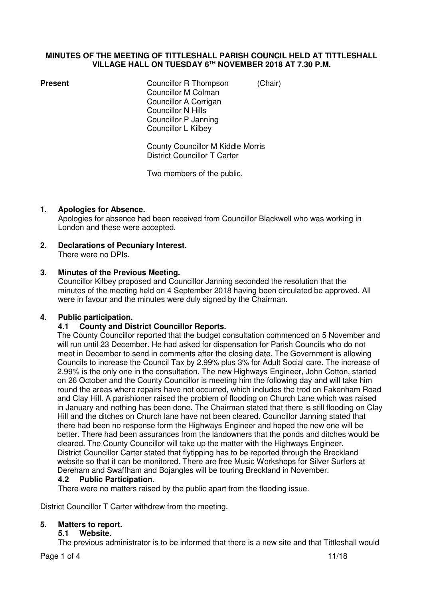## **MINUTES OF THE MEETING OF TITTLESHALL PARISH COUNCIL HELD AT TITTLESHALL VILLAGE HALL ON TUESDAY 6TH NOVEMBER 2018 AT 7.30 P.M.**

**Present Councillor R Thompson** *(Chair)*  Councillor M Colman Councillor A Corrigan Councillor N Hills Councillor P Janning Councillor L Kilbey

> County Councillor M Kiddle Morris District Councillor T Carter

Two members of the public.

# **1. Apologies for Absence.**

Apologies for absence had been received from Councillor Blackwell who was working in London and these were accepted.

**2. Declarations of Pecuniary Interest.**  There were no DPIs.

## **3. Minutes of the Previous Meeting.**

Councillor Kilbey proposed and Councillor Janning seconded the resolution that the minutes of the meeting held on 4 September 2018 having been circulated be approved. All were in favour and the minutes were duly signed by the Chairman.

## **4. Public participation.**

## **4.1 County and District Councillor Reports.**

The County Councillor reported that the budget consultation commenced on 5 November and will run until 23 December. He had asked for dispensation for Parish Councils who do not meet in December to send in comments after the closing date. The Government is allowing Councils to increase the Council Tax by 2.99% plus 3% for Adult Social care. The increase of 2.99% is the only one in the consultation. The new Highways Engineer, John Cotton, started on 26 October and the County Councillor is meeting him the following day and will take him round the areas where repairs have not occurred, which includes the trod on Fakenham Road and Clay Hill. A parishioner raised the problem of flooding on Church Lane which was raised in January and nothing has been done. The Chairman stated that there is still flooding on Clay Hill and the ditches on Church lane have not been cleared. Councillor Janning stated that there had been no response form the Highways Engineer and hoped the new one will be better. There had been assurances from the landowners that the ponds and ditches would be cleared. The County Councillor will take up the matter with the Highways Engineer. District Councillor Carter stated that flytipping has to be reported through the Breckland website so that it can be monitored. There are free Music Workshops for Silver Surfers at Dereham and Swaffham and Bojangles will be touring Breckland in November.

## **4.2 Public Participation.**

There were no matters raised by the public apart from the flooding issue.

District Councillor T Carter withdrew from the meeting.

## **5. Matters to report.**

## **5.1 Website.**

The previous administrator is to be informed that there is a new site and that Tittleshall would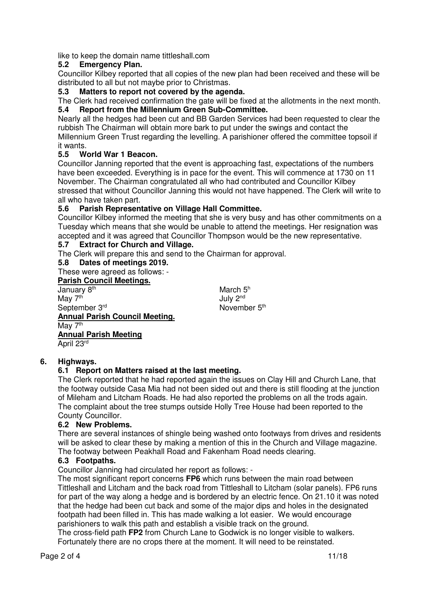like to keep the domain name tittleshall.com

# **5.2 Emergency Plan.**

Councillor Kilbey reported that all copies of the new plan had been received and these will be distributed to all but not maybe prior to Christmas.

**5.3 Matters to report not covered by the agenda.** 

The Clerk had received confirmation the gate will be fixed at the allotments in the next month. **5.4 Report from the Millennium Green Sub-Committee.**

Nearly all the hedges had been cut and BB Garden Services had been requested to clear the rubbish The Chairman will obtain more bark to put under the swings and contact the Millennium Green Trust regarding the levelling. A parishioner offered the committee topsoil if it wants.

# **5.5 World War 1 Beacon.**

Councillor Janning reported that the event is approaching fast, expectations of the numbers have been exceeded. Everything is in pace for the event. This will commence at 1730 on 11 November. The Chairman congratulated all who had contributed and Councillor Kilbey stressed that without Councillor Janning this would not have happened. The Clerk will write to all who have taken part.

# **5.6 Parish Representative on Village Hall Committee.**

Councillor Kilbey informed the meeting that she is very busy and has other commitments on a Tuesday which means that she would be unable to attend the meetings. Her resignation was accepted and it was agreed that Councillor Thompson would be the new representative.

# **5.7 Extract for Church and Village.**

The Clerk will prepare this and send to the Chairman for approval.

# **Dates of meetings 2019.**

These were agreed as follows: -

 **Parish Council Meetings.**  January 8<sup>th</sup> May 7<sup>th</sup> September 3rd **Annual Parish Council Meeting.**  May 7<sup>th</sup> **Annual Parish Meeting**  April 23<sup>rd</sup>

March  $5<sup>h</sup>$ July 2nd November 5<sup>th</sup>

# **6. Highways.**

# **6.1 Report on Matters raised at the last meeting.**

The Clerk reported that he had reported again the issues on Clay Hill and Church Lane, that the footway outside Casa Mia had not been sided out and there is still flooding at the junction of Mileham and Litcham Roads. He had also reported the problems on all the trods again. The complaint about the tree stumps outside Holly Tree House had been reported to the County Councillor.

# **6.2 New Problems.**

There are several instances of shingle being washed onto footways from drives and residents will be asked to clear these by making a mention of this in the Church and Village magazine. The footway between Peakhall Road and Fakenham Road needs clearing.

## **6.3 Footpaths.**

Councillor Janning had circulated her report as follows: -

 The most significant report concerns **FP6** which runs between the main road between Tittleshall and Litcham and the back road from Tittleshall to Litcham (solar panels). FP6 runs for part of the way along a hedge and is bordered by an electric fence. On 21.10 it was noted that the hedge had been cut back and some of the major dips and holes in the designated footpath had been filled in. This has made walking a lot easier. We would encourage parishioners to walk this path and establish a visible track on the ground.

 The cross-field path **FP2** from Church Lane to Godwick is no longer visible to walkers. Fortunately there are no crops there at the moment. It will need to be reinstated.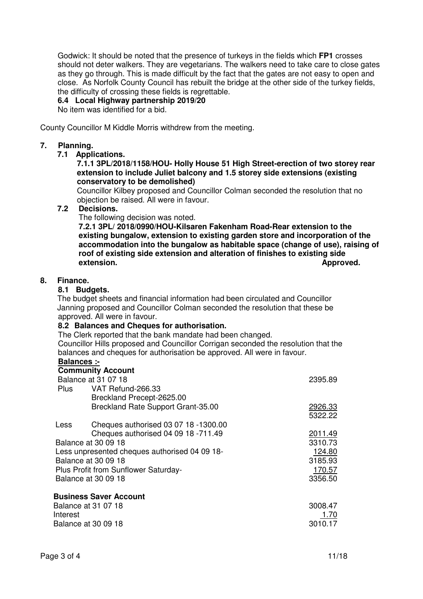Godwick: It should be noted that the presence of turkeys in the fields which **FP1** crosses should not deter walkers. They are vegetarians. The walkers need to take care to close gates as they go through. This is made difficult by the fact that the gates are not easy to open and close. As Norfolk County Council has rebuilt the bridge at the other side of the turkey fields, the difficulty of crossing these fields is regrettable.

## **6.4 Local Highway partnership 2019/20**

No item was identified for a bid.

County Councillor M Kiddle Morris withdrew from the meeting.

#### **7. Planning.**

#### **7.1 Applications.**

#### **7.1.1 3PL/2018/1158/HOU- Holly House 51 High Street-erection of two storey rear extension to include Juliet balcony and 1.5 storey side extensions (existing conservatory to be demolished)**

Councillor Kilbey proposed and Councillor Colman seconded the resolution that no objection be raised. All were in favour.<br>72 Decisions

#### Decisions.

The following decision was noted.

 **7.2.1 3PL/ 2018/0990/HOU-Kilsaren Fakenham Road-Rear extension to the existing bungalow, extension to existing garden store and incorporation of the accommodation into the bungalow as habitable space (change of use), raising of roof of existing side extension and alteration of finishes to existing side**  *extension. Approved.* 

#### **8. Finance.**

#### **8.1 Budgets.**

The budget sheets and financial information had been circulated and Councillor Janning proposed and Councillor Colman seconded the resolution that these be approved. All were in favour.

#### **8.2 Balances and Cheques for authorisation.**

The Clerk reported that the bank mandate had been changed. Councillor Hills proposed and Councillor Corrigan seconded the resolution that the balances and cheques for authorisation be approved. All were in favour.

# **Balances :-**

|                                      | <b>Community Account</b>                      |         |
|--------------------------------------|-----------------------------------------------|---------|
|                                      | Balance at 31 07 18                           | 2395.89 |
|                                      | Plus VAT Refund-266.33                        |         |
|                                      | Breckland Precept-2625.00                     |         |
|                                      | Breckland Rate Support Grant-35.00            | 2926.33 |
|                                      |                                               | 5322.22 |
| Less                                 | Cheques authorised 03 07 18 -1300.00          |         |
|                                      | Cheques authorised 04 09 18 -711.49           | 2011.49 |
| Balance at 30 09 18                  |                                               | 3310.73 |
|                                      | Less unpresented cheques authorised 04 09 18- | 124.80  |
| Balance at 30 09 18                  |                                               | 3185.93 |
| Plus Profit from Sunflower Saturday- |                                               | 170.57  |
|                                      | Balance at 30 09 18                           | 3356.50 |
|                                      | <b>Business Saver Account</b>                 |         |
|                                      | Balance at 31 07 18                           | 3008.47 |
| Interest                             |                                               | 1.70    |
|                                      | Balance at 30 09 18                           | 3010.17 |